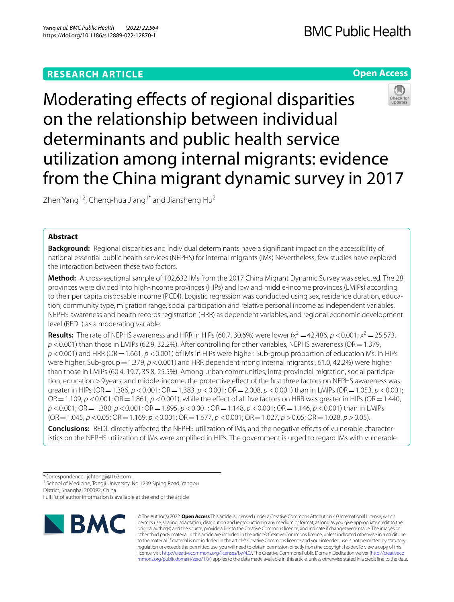# **RESEARCH ARTICLE**





Zhen Yang<sup>1,2</sup>, Cheng-hua Jiang<sup>1\*</sup> and Jiansheng Hu<sup>2</sup>

# **Abstract**

**Background:** Regional disparities and individual determinants have a signifcant impact on the accessibility of national essential public health services (NEPHS) for internal migrants (IMs) Nevertheless, few studies have explored the interaction between these two factors.

**Method:** A cross-sectional sample of 102,632 IMs from the 2017 China Migrant Dynamic Survey was selected. The 28 provinces were divided into high-income provinces (HIPs) and low and middle-income provinces (LMIPs) according to their per capita disposable income (PCDI). Logistic regression was conducted using sex, residence duration, educa‑ tion, community type, migration range, social participation and relative personal income as independent variables, NEPHS awareness and health records registration (HRR) as dependent variables, and regional economic development level (REDL) as a moderating variable.

**Results:** The rate of NEPHS awareness and HRR in HIPs (60.7, 30.6%) were lower ( $x^2 = 42.486$ ,  $p < 0.001$ ;  $x^2 = 25.573$ , *p* <0.001) than those in LMIPs (62.9, 32.2%). After controlling for other variables, NEPHS awareness (OR=1.379, *p* <0.001) and HRR (OR=1.661, *p* <0.001) of IMs in HIPs were higher. Sub-group proportion of education Ms. in HIPs were higher. Sub-group = 1.379, *p* < 0.001) and HRR dependent mong internal migrants:, 61.0, 42.2%) were higher than those in LMIPs (60.4, 19.7, 35.8, 25.5%). Among urban communities, intra-provincial migration, social participation, education >9 years, and middle-income, the protective efect of the frst three factors on NEPHS awareness was greater in HIPs (OR=1.386, *p* <0.001; OR=1.383, *p* <0.001; OR=2.008, *p* <0.001) than in LMIPs (OR=1.053, *p* <0.001;  $OR = 1.109$ ,  $p < 0.001$ ;  $OR = 1.861$ ,  $p < 0.001$ ), while the effect of all five factors on HRR was greater in HIPs ( $OR = 1.440$ , *p* <0.001; OR=1.380, *p* <0.001; OR=1.895, *p* <0.001; OR=1.148, *p* <0.001; OR=1.146, *p* <0.001) than in LMIPs (OR=1.045, *p* <0.05; OR=1.169, *p* <0.001; OR=1.677, *p* <0.001; OR=1.027, *p* >0.05; OR=1.028, *p* >0.05).

**Conclusions:** REDL directly affected the NEPHS utilization of IMs, and the negative effects of vulnerable characteristics on the NEPHS utilization of IMs were amplifed in HIPs. The government is urged to regard IMs with vulnerable

\*Correspondence: jchtongji@163.com

<sup>1</sup> School of Medicine, Tongji University, No 1239 Siping Road, Yangpu

District, Shanghai 200092, China

Full list of author information is available at the end of the article



© The Author(s) 2022. **Open Access** This article is licensed under a Creative Commons Attribution 4.0 International License, which permits use, sharing, adaptation, distribution and reproduction in any medium or format, as long as you give appropriate credit to the original author(s) and the source, provide a link to the Creative Commons licence, and indicate if changes were made. The images or other third party material in this article are included in the article's Creative Commons licence, unless indicated otherwise in a credit line to the material. If material is not included in the article's Creative Commons licence and your intended use is not permitted by statutory regulation or exceeds the permitted use, you will need to obtain permission directly from the copyright holder. To view a copy of this licence, visit [http://creativecommons.org/licenses/by/4.0/.](http://creativecommons.org/licenses/by/4.0/) The Creative Commons Public Domain Dedication waiver ([http://creativeco](http://creativecommons.org/publicdomain/zero/1.0/) [mmons.org/publicdomain/zero/1.0/](http://creativecommons.org/publicdomain/zero/1.0/)) applies to the data made available in this article, unless otherwise stated in a credit line to the data.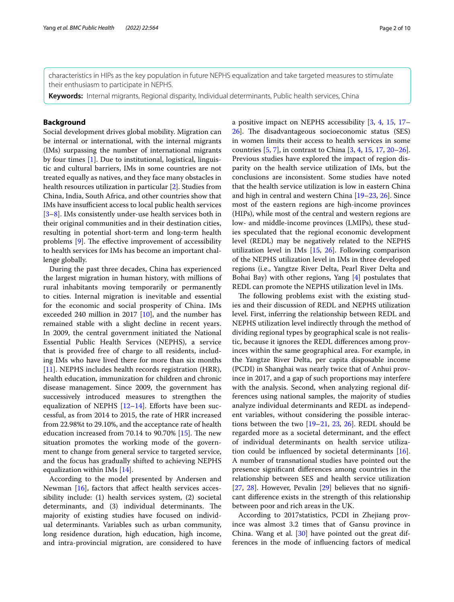characteristics in HIPs as the key population in future NEPHS equalization and take targeted measures to stimulate their enthusiasm to participate in NEPHS.

**Keywords:** Internal migrants, Regional disparity, Individual determinants, Public health services, China

# **Background**

Social development drives global mobility. Migration can be internal or international, with the internal migrants (IMs) surpassing the number of international migrants by four times [\[1\]](#page-8-0). Due to institutional, logistical, linguistic and cultural barriers, IMs in some countries are not treated equally as natives, and they face many obstacles in health resources utilization in particular [[2\]](#page-8-1). Studies from China, India, South Africa, and other countries show that IMs have insufficient access to local public health services [[3–](#page-8-2)[8\]](#page-8-3). IMs consistently under-use health services both in their original communities and in their destination cities, resulting in potential short-term and long-term health problems  $[9]$  $[9]$ . The effective improvement of accessibility to health services for IMs has become an important challenge globally.

During the past three decades, China has experienced the largest migration in human history, with millions of rural inhabitants moving temporarily or permanently to cities. Internal migration is inevitable and essential for the economic and social prosperity of China. IMs exceeded 240 million in 2017 [[10\]](#page-8-5), and the number has remained stable with a slight decline in recent years. In 2009, the central government initiated the National Essential Public Health Services (NEPHS), a service that is provided free of charge to all residents, including IMs who have lived there for more than six months [[11\]](#page-8-6). NEPHS includes health records registration (HRR), health education, immunization for children and chronic disease management. Since 2009, the government has successively introduced measures to strengthen the equalization of NEPHS  $[12-14]$  $[12-14]$  $[12-14]$ . Efforts have been successful, as from 2014 to 2015, the rate of HRR increased from 22.98%t to 29.10%, and the acceptance rate of health education increased from 70.14 to  $90.70\%$  [[15\]](#page-8-9). The new situation promotes the working mode of the government to change from general service to targeted service, and the focus has gradually shifted to achieving NEPHS equalization within IMs [[14](#page-8-8)].

According to the model presented by Andersen and Newman [\[16](#page-8-10)], factors that affect health services accessibility include: (1) health services system, (2) societal determinants, and (3) individual determinants. The majority of existing studies have focused on individual determinants. Variables such as urban community, long residence duration, high education, high income, and intra-provincial migration, are considered to have a positive impact on NEPHS accessibility [\[3](#page-8-2), [4](#page-8-11), [15,](#page-8-9) [17–](#page-8-12) [26\]](#page-9-0). The disadvantageous socioeconomic status (SES) in women limits their access to health services in some countries [[5,](#page-8-13) [7](#page-8-14)], in contrast to China [\[3,](#page-8-2) [4,](#page-8-11) [15](#page-8-9), [17,](#page-8-12) [20](#page-9-1)[–26](#page-9-0)]. Previous studies have explored the impact of region disparity on the health service utilization of IMs, but the conclusions are inconsistent. Some studies have noted that the health service utilization is low in eastern China and high in central and western China [\[19](#page-9-2)[–23,](#page-9-3) [26\]](#page-9-0). Since most of the eastern regions are high-income provinces (HIPs), while most of the central and western regions are low- and middle-income provinces (LMIPs), these studies speculated that the regional economic development level (REDL) may be negatively related to the NEPHS utilization level in IMs [[15,](#page-8-9) [26](#page-9-0)]. Following comparison of the NEPHS utilization level in IMs in three developed regions (i.e., Yangtze River Delta, Pearl River Delta and Bohai Bay) with other regions, Yang [\[4](#page-8-11)] postulates that REDL can promote the NEPHS utilization level in IMs.

The following problems exist with the existing studies and their discussion of REDL and NEPHS utilization level. First, inferring the relationship between REDL and NEPHS utilization level indirectly through the method of dividing regional types by geographical scale is not realistic, because it ignores the REDL diferences among provinces within the same geographical area. For example, in the Yangtze River Delta, per capita disposable income (PCDI) in Shanghai was nearly twice that of Anhui province in 2017, and a gap of such proportions may interfere with the analysis. Second, when analyzing regional differences using national samples, the majority of studies analyze individual determinants and REDL as independent variables, without considering the possible interactions between the two [[19–](#page-9-2)[21](#page-9-4), [23,](#page-9-3) [26](#page-9-0)]. REDL should be regarded more as a societal determinant, and the efect of individual determinants on health service utilization could be infuenced by societal determinants [\[16](#page-8-10)]. A number of transnational studies have pointed out the presence signifcant diferences among countries in the relationship between SES and health service utilization [[27,](#page-9-5) [28\]](#page-9-6). However, Pevalin [\[29](#page-9-7)] believes that no signifcant diference exists in the strength of this relationship between poor and rich areas in the UK.

According to 2017statistics, PCDI in Zhejiang province was almost 3.2 times that of Gansu province in China. Wang et al.  $[30]$  $[30]$  have pointed out the great differences in the mode of infuencing factors of medical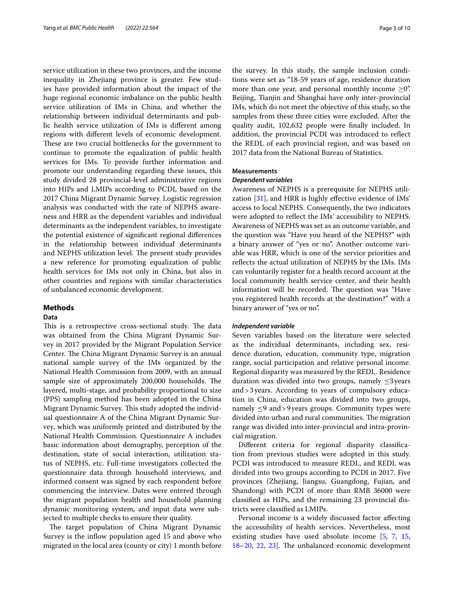service utilization in these two provinces, and the income inequality in Zhejiang province is greater. Few studies have provided information about the impact of the huge regional economic imbalance on the public health service utilization of IMs in China, and whether the relationship between individual determinants and public health service utilization of IMs is diferent among regions with diferent levels of economic development. These are two crucial bottlenecks for the government to continue to promote the equalization of public health services for IMs. To provide further information and promote our understanding regarding these issues, this study divided 28 provincial-level administrative regions into HIPs and LMIPs according to PCDI, based on the 2017 China Migrant Dynamic Survey. Logistic regression analysis was conducted with the rate of NEPHS awareness and HRR as the dependent variables and individual determinants as the independent variables, to investigate the potential existence of signifcant regional diferences in the relationship between individual determinants and NEPHS utilization level. The present study provides a new reference for promoting equalization of public health services for IMs not only in China, but also in other countries and regions with similar characteristics of unbalanced economic development.

## **Methods**

## **Data**

This is a retrospective cross-sectional study. The data was obtained from the China Migrant Dynamic Survey in 2017 provided by the Migrant Population Service Center. The China Migrant Dynamic Survey is an annual national sample survey of the IMs organized by the National Health Commission from 2009, with an annual sample size of approximately 200,000 households. The layered, multi-stage, and probability proportional to size (PPS) sampling method has been adopted in the China Migrant Dynamic Survey. This study adopted the individual questionnaire A of the China Migrant Dynamic Survey, which was uniformly printed and distributed by the National Health Commission. Questionnaire A includes basic information about demography, perception of the destination, state of social interaction, utilization status of NEPHS, etc. Full-time investigators collected the questionnaire data through household interviews, and informed consent was signed by each respondent before commencing the interview. Dates were entered through the migrant population health and household planning dynamic monitoring system, and input data were subjected to multiple checks to ensure their quality.

The target population of China Migrant Dynamic Survey is the infow population aged 15 and above who migrated in the local area (county or city) 1 month before the survey. In this study, the sample inclusion conditions were set as "18-59 years of age, residence duration more than one year, and personal monthly income  $\geq 0$ ". Beijing, Tianjin and Shanghai have only inter-provincial IMs, which do not meet the objective of this study, so the samples from these three cities were excluded. After the quality audit, 102,632 people were fnally included. In addition, the provincial PCDI was introduced to refect the REDL of each provincial region, and was based on 2017 data from the National Bureau of Statistics.

# **Measurements**

### *Dependent variables*

Awareness of NEPHS is a prerequisite for NEPHS utilization [\[31](#page-9-9)], and HRR is highly efective evidence of IMs' access to local NEPHS. Consequently, the two indicators were adopted to refect the IMs' accessibility to NEPHS. Awareness of NEPHS was set as an outcome variable, and the question was "Have you heard of the NEPHS?" with a binary answer of "yes or no". Another outcome variable was HRR, which is one of the service priorities and refects the actual utilization of NEPHS by the IMs. IMs can voluntarily register for a health record account at the local community health service center, and their health information will be recorded. The question was "Have you registered health records at the destination?" with a binary answer of "yes or no".

### *Independent variable*

Seven variables based on the literature were selected as the individual determinants, including sex, residence duration, education, community type, migration range, social participation and relative personal income. Regional disparity was measured by the REDL. Residence duration was divided into two groups, namely  $\leq$ 3 years and>3years. According to years of compulsory education in China, education was divided into two groups, namely  $\leq$ 9 and>9 years groups. Community types were divided into urban and rural communities. The migration range was divided into inter-provincial and intra-provincial migration.

Diferent criteria for regional disparity classifcation from previous studies were adopted in this study. PCDI was introduced to measure REDL, and REDL was divided into two groups according to PCDI in 2017. Five provinces (Zhejiang, Jiangsu, Guangdong, Fujian, and Shandong) with PCDI of more than RMB 36000 were classifed as HIPs, and the remaining 23 provincial districts were classifed as LMIPs.

Personal income is a widely discussed factor afecting the accessibility of health services. Nevertheless, most existing studies have used absolute income [[5,](#page-8-13) [7](#page-8-14), [15](#page-8-9), [18](#page-8-15)[–20](#page-9-1), [22](#page-9-10), [23](#page-9-3)]. The unbalanced economic development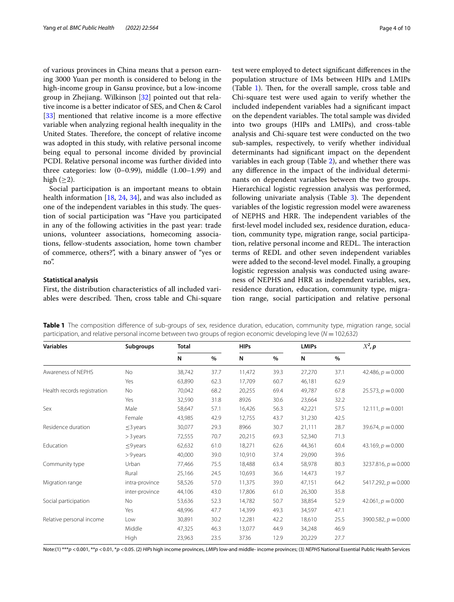of various provinces in China means that a person earning 3000 Yuan per month is considered to belong in the high-income group in Gansu province, but a low-income group in Zhejiang. Wilkinson [\[32\]](#page-9-11) pointed out that relative income is a better indicator of SES, and Chen & Carol [[33\]](#page-9-12) mentioned that relative income is a more effective variable when analyzing regional health inequality in the United States. Therefore, the concept of relative income was adopted in this study, with relative personal income being equal to personal income divided by provincial PCDI. Relative personal income was further divided into three categories: low  $(0-0.99)$ , middle  $(1.00-1.99)$  and high  $(\geq 2)$ .

Social participation is an important means to obtain health information [\[18](#page-8-15), [24](#page-9-13), [34](#page-9-14)], and was also included as one of the independent variables in this study. The question of social participation was "Have you participated in any of the following activities in the past year: trade unions, volunteer associations, homecoming associations, fellow-students association, home town chamber of commerce, others?", with a binary answer of "yes or no".

### **Statistical analysis**

First, the distribution characteristics of all included variables were described. Then, cross table and Chi-square test were employed to detect signifcant diferences in the population structure of IMs between HIPs and LMIPs (Table  $1$ ). Then, for the overall sample, cross table and Chi-square test were used again to verify whether the included independent variables had a signifcant impact on the dependent variables. The total sample was divided into two groups (HIPs and LMIPs), and cross-table analysis and Chi-square test were conducted on the two sub-samples, respectively, to verify whether individual determinants had signifcant impact on the dependent variables in each group (Table [2](#page-4-0)), and whether there was any diference in the impact of the individual determinants on dependent variables between the two groups. Hierarchical logistic regression analysis was performed, following univariate analysis (Table  $3$ ). The dependent variables of the logistic regression model were awareness of NEPHS and HRR. The independent variables of the frst-level model included sex, residence duration, education, community type, migration range, social participation, relative personal income and REDL. The interaction terms of REDL and other seven independent variables were added to the second-level model. Finally, a grouping logistic regression analysis was conducted using aware-

ness of NEPHS and HRR as independent variables, sex, residence duration, education, community type, migration range, social participation and relative personal

<span id="page-3-0"></span>**Table 1** The composition difference of sub-groups of sex, residence duration, education, community type, migration range, social participation, and relative personal income between two groups of region economic developing leve (*N* =102,632)

| <b>Variables</b>            | Subgroups      | <b>Total</b> |      | <b>HIPs</b> |      | <b>LMIPs</b> |      | $X^2$ , p             |
|-----------------------------|----------------|--------------|------|-------------|------|--------------|------|-----------------------|
|                             |                | N            | %    | N           | %    | N            | $\%$ |                       |
| Awareness of NEPHS          | <b>No</b>      | 38,742       | 37.7 | 11,472      | 39.3 | 27,270       | 37.1 | 42.486, $p = 0.000$   |
|                             | Yes            | 63,890       | 62.3 | 17,709      | 60.7 | 46,181       | 62.9 |                       |
| Health records registration | No             | 70,042       | 68.2 | 20,255      | 69.4 | 49,787       | 67.8 | $25.573, p = 0.000$   |
|                             | Yes            | 32,590       | 31.8 | 8926        | 30.6 | 23,664       | 32.2 |                       |
| Sex                         | Male           | 58,647       | 57.1 | 16,426      | 56.3 | 42,221       | 57.5 | $12.111, p = 0.001$   |
|                             | Female         | 43,985       | 42.9 | 12,755      | 43.7 | 31,230       | 42.5 |                       |
| Residence duration          | $\leq$ 3 years | 30,077       | 29.3 | 8966        | 30.7 | 21,111       | 28.7 | $39.674, p = 0.000$   |
|                             | $>$ 3 years    | 72,555       | 70.7 | 20,215      | 69.3 | 52,340       | 71.3 |                       |
| Education                   | $\leq$ 9 years | 62,632       | 61.0 | 18,271      | 62.6 | 44,361       | 60.4 | 43.169, $p = 0.000$   |
|                             | >9 years       | 40,000       | 39.0 | 10,910      | 37.4 | 29,090       | 39.6 |                       |
| Community type              | Urban          | 77,466       | 75.5 | 18,488      | 63.4 | 58,978       | 80.3 | $3237.816, p = 0.000$ |
|                             | Rural          | 25,166       | 24.5 | 10,693      | 36.6 | 14,473       | 19.7 |                       |
| Migration range             | intra-province | 58,526       | 57.0 | 11,375      | 39.0 | 47,151       | 64.2 | $5417.292, p = 0.000$ |
|                             | inter-province | 44,106       | 43.0 | 17,806      | 61.0 | 26,300       | 35.8 |                       |
| Social participation        | No.            | 53,636       | 52.3 | 14,782      | 50.7 | 38,854       | 52.9 | $42.061, p = 0.000$   |
|                             | Yes            | 48,996       | 47.7 | 14,399      | 49.3 | 34,597       | 47.1 |                       |
| Relative personal income    | Low            | 30,891       | 30.2 | 12,281      | 42.2 | 18,610       | 25.5 | 3900.582, $p = 0.000$ |
|                             | Middle         | 47,325       | 46.3 | 13,077      | 44.9 | 34,248       | 46.9 |                       |
|                             | <b>High</b>    | 23,963       | 23.5 | 3736        | 12.9 | 20,229       | 27.7 |                       |

Note:(1) \*\*\*p <0.001, \*\*p <0.01, \*p <0.05. (2) *HIPs* high income provinces, *LMIPs* low-and middle- income provinces; (3) *NEPHS* National Essential Public Health Services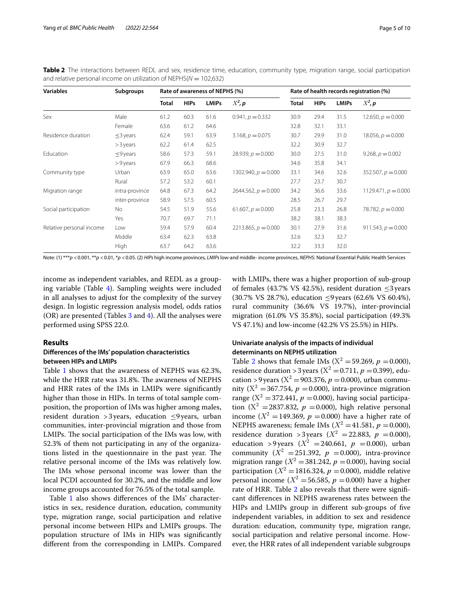<span id="page-4-0"></span>**Table 2** The interactions between REDL and sex, residence time, education, community type, migration range, social participation and relative personal income on utilization of NEPHS(*N* = 102,632)

| <b>Variables</b>         | <b>Subgroups</b> | Rate of awareness of NEPHS (%) |             |              | Rate of health records registration (%) |              |             |              |                       |
|--------------------------|------------------|--------------------------------|-------------|--------------|-----------------------------------------|--------------|-------------|--------------|-----------------------|
|                          |                  | <b>Total</b>                   | <b>HIPs</b> | <b>LMIPs</b> | $X^2$ , p                               | <b>Total</b> | <b>HIPs</b> | <b>LMIPs</b> | $X^2$ , p             |
| Sex                      | Male             | 61.2                           | 60.3        | 61.6         | $0.941, p = 0.332$                      | 30.9         | 29.4        | 31.5         | 12.650, $p = 0.000$   |
|                          | Female           | 63.6                           | 61.2        | 64.6         |                                         | 32.8         | 32.1        | 33.1         |                       |
| Residence duration       | $\leq$ 3 years   | 62.4                           | 59.1        | 63.9         | $3.168, p = 0.075$                      | 30.7         | 29.9        | 31.0         | $18.056, p = 0.000$   |
|                          | $>$ 3 years      | 62.2                           | 61.4        | 62.5         |                                         | 32.2         | 30.9        | 32.7         |                       |
| Education                | $\leq$ 9 years   | 58.6                           | 57.3        | 59.1         | $28.939, p = 0.000$                     | 30.0         | 27.5        | 31.0         | 9.268, $p = 0.002$    |
|                          | $> 9$ years      | 67.9                           | 66.3        | 68.6         |                                         | 34.6         | 35.8        | 34.1         |                       |
| Community type           | Urban            | 63.9                           | 65.0        | 63.6         | $1302.940, p = 0.000$                   | 33.1         | 34.6        | 32.6         | $352.507, p = 0.000$  |
|                          | Rural            | 57.2                           | 53.2        | 60.1         |                                         | 27.7         | 23.7        | 30.7         |                       |
| Migration range          | intra-province   | 64.8                           | 67.3        | 64.2         | $2644.562, p = 0.000$                   | 34.2         | 36.6        | 33.6         | 1129.471, $p = 0.000$ |
|                          | inter-province   | 58.9                           | 57.5        | 60.5         |                                         | 28.5         | 26.7        | 29.7         |                       |
| Social participation     | No               | 54.5                           | 51.9        | 55.6         | $61.607, p = 0.000$                     | 25.8         | 23.3        | 26.8         | 78.782, $p = 0.000$   |
|                          | Yes              | 70.7                           | 69.7        | 71.1         |                                         | 38.2         | 38.1        | 38.3         |                       |
| Relative personal income | Low              | 59.4                           | 57.9        | 60.4         | $2213.865, p = 0.000$                   | 30.1         | 27.9        | 31.6         | 911.543, $p = 0.000$  |
|                          | Middle           | 63.4                           | 62.3        | 63.8         |                                         | 32.6         | 32.3        | 32.7         |                       |
|                          | High             | 63.7                           | 64.2        | 63.6         |                                         | 32.2         | 33.3        | 32.0         |                       |

Note: (1) \*\*\**p* <0.001, \*\**p* <0.01, \**p* <0.05. (2) *HIPs* high income provinces, *LMIPs* low-and middle- income provinces, *NEPHS*: National Essential Public Health Services

income as independent variables, and REDL as a grouping variable (Table  $4$ ). Sampling weights were included in all analyses to adjust for the complexity of the survey design. In logistic regression analysis model, odds ratios (OR) are presented (Tables  $3$  and  $4$ ). All the analyses were performed using SPSS 22.0.

## **Results**

## **Diferences of the IMs' population characteristics between HIPs and LMIPs**

Table [1](#page-3-0) shows that the awareness of NEPHS was 62.3%, while the HRR rate was 31.8%. The awareness of NEPHS and HRR rates of the IMs in LMIPs were signifcantly higher than those in HIPs. In terms of total sample composition, the proportion of IMs was higher among males, resident duration > 3 years, education  $\leq$ 9 years, urban communities, inter-provincial migration and those from LMIPs. The social participation of the IMs was low, with 52.3% of them not participating in any of the organizations listed in the questionnaire in the past year. The relative personal income of the IMs was relatively low. The IMs whose personal income was lower than the local PCDI accounted for 30.2%, and the middle and low income groups accounted for 76.5% of the total sample.

Table [1](#page-3-0) also shows differences of the IMs' characteristics in sex, residence duration, education, community type, migration range, social participation and relative personal income between HIPs and LMIPs groups. The population structure of IMs in HIPs was signifcantly diferent from the corresponding in LMIPs. Compared with LMIPs, there was a higher proportion of sub-group of females (43.7% VS 42.5%), resident duration  $\leq$ 3 years (30.7% VS 28.7%), education ≤9years (62.6% VS 60.4%), rural community (36.6% VS 19.7%), inter-provincial migration (61.0% VS 35.8%), social participation (49.3% VS 47.1%) and low-income (42.2% VS 25.5%) in HIPs.

# **Univariate analysis of the impacts of individual determinants on NEPHS utilization**

Table [2](#page-4-0) shows that female IMs ( $X^2 = 59.269$ ,  $p = 0.000$ ), residence duration > 3 years ( $X^2 = 0.711$ ,  $p = 0.399$ ), education > 9 years ( $X^2$  = 903.376,  $p$  = 0.000), urban community  $(X^2 = 367.754, p = 0.000)$ , intra-province migration range ( $X^2 = 372.441$ ,  $p = 0.000$ ), having social participation  $(X^2 = 2837.832, p = 0.000)$ , high relative personal income ( $X^2 = 149.369$ ,  $p = 0.000$ ) have a higher rate of NEPHS awareness; female IMs  $(X^2 = 41.581, p = 0.000)$ , residence duration > 3 years ( $X^2 = 22.883$ ,  $p = 0.000$ ), education >9years ( $X^2$  = 240.661,  $p$  = 0.000), urban community  $(X^2 = 251.392, p = 0.000)$ , intra-province migration range  $(X^2 = 381.242, p = 0.000)$ , having social participation ( $X^2 = 1816.324$ ,  $p = 0.000$ ), middle relative personal income ( $X^2$  = 56.585,  $p$  = 0.000) have a higher rate of HRR. Table [2](#page-4-0) also reveals that there were signifcant diferences in NEPHS awareness rates between the HIPs and LMIPs group in diferent sub-groups of fve independent variables, in addition to sex and residence duration: education, community type, migration range, social participation and relative personal income. However, the HRR rates of all independent variable subgroups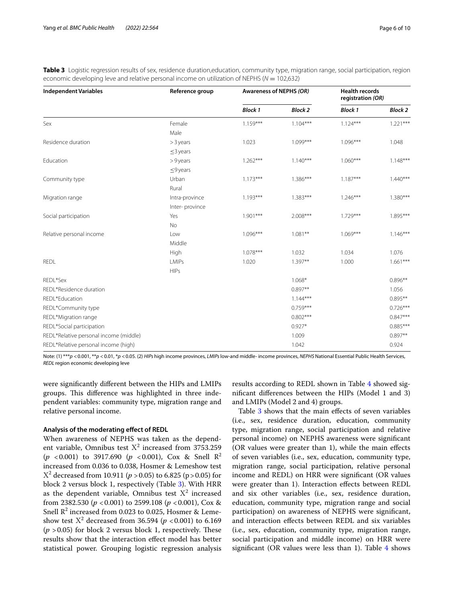| <b>Independent Variables</b>           | Reference group | Awareness of NEPHS (OR) |                | <b>Health records</b><br>registration (OR) |                |
|----------------------------------------|-----------------|-------------------------|----------------|--------------------------------------------|----------------|
|                                        |                 | <b>Block 1</b>          | <b>Block 2</b> | <b>Block 1</b>                             | <b>Block 2</b> |
| Sex                                    | Female          | $1.159***$              | $1.104***$     | $1.124***$                                 | $1.221***$     |
|                                        | Male            |                         |                |                                            |                |
| Residence duration                     | $>$ 3 years     | 1.023                   | $1.099***$     | $1.096***$                                 | 1.048          |
|                                        | $\leq$ 3 years  |                         |                |                                            |                |
| Education                              | >9 years        | $1.262***$              | $1.140***$     | $1.060***$                                 | $1.148***$     |
|                                        | $\leq$ 9 years  |                         |                |                                            |                |
| Community type                         | Urban           | $1.173***$              | $1.386***$     | $1.187***$                                 | $1.440***$     |
|                                        | Rural           |                         |                |                                            |                |
| Migration range                        | Intra-province  | $1.193***$              | $1.383***$     | $1.246***$                                 | $1.380***$     |
|                                        | Inter-province  |                         |                |                                            |                |
| Social participation                   | Yes             | $1.901***$              | 2.008***       | $1.729***$                                 | 1.895***       |
|                                        | No              |                         |                |                                            |                |
| Relative personal income               | Low             | $1.096***$              | $1.081**$      | $1.069***$                                 | $1.146***$     |
|                                        | Middle          |                         |                |                                            |                |
|                                        | High            | $1.078***$              | 1.032          | 1.034                                      | 1.076          |
| <b>REDL</b>                            | <b>LMIPs</b>    | 1.020                   | $1.397**$      | 1.000                                      | $1.661***$     |
|                                        | <b>HIPs</b>     |                         |                |                                            |                |
| REDL*Sex                               |                 |                         | $1.068*$       |                                            | $0.896**$      |
| REDL*Residence duration                |                 |                         | $0.897**$      |                                            | 1.056          |
| REDL*Education                         |                 |                         | $1.144***$     |                                            | $0.895**$      |
| REDL*Community type                    |                 |                         | $0.759***$     |                                            | $0.726***$     |
| REDL*Migration range                   |                 |                         | $0.802***$     |                                            | $0.847***$     |
| REDL*Social participation              |                 |                         | $0.927*$       |                                            | $0.885***$     |
| REDL*Relative personal income (middle) |                 |                         | 1.009          |                                            | $0.897**$      |
| REDL*Relative personal income (high)   |                 |                         | 1.042          |                                            | 0.924          |

<span id="page-5-0"></span>**Table 3** Logistic regression results of sex, residence duration,education, community type, migration range, social participation, region economic developing leve and relative personal income on utilization of NEPHS (*N* = 102,632)

Note: (1) \*\*\**p* <0.001, \*\**p* <0.01, \**p* <0.05. (2) *HIPs* high income provinces, *LMIPs* low-and middle- income provinces, *NEPHS* National Essential Public Health Services, *REDL* region economic developing leve

were signifcantly diferent between the HIPs and LMIPs groups. This difference was highlighted in three independent variables: community type, migration range and relative personal income.

# **Analysis of the moderating efect of REDL**

When awareness of NEPHS was taken as the dependent variable, Omnibus test  $X^2$  increased from 3753.259 ( $p$  <0.001) to 3917.690 ( $p$  <0.001), Cox & Snell R<sup>2</sup> increased from 0.036 to 0.038, Hosmer & Lemeshow test Χ<sup>2</sup> decreased from 10.911 (*p* >0.05) to 6.825 (p>0.05) for block 2 versus block 1, respectively (Table [3\)](#page-5-0). With HRR as the dependent variable, Omnibus test  $X^2$  increased from 2382.530 (*p* <0.001) to 2599.108 (*p* <0.001), Cox & Snell  $\mathbb{R}^2$  increased from 0.023 to 0.025, Hosmer & Lemeshow test  $X^2$  decreased from 36.594 ( $p < 0.001$ ) to 6.169  $(p > 0.05)$  for block 2 versus block 1, respectively. These results show that the interaction efect model has better statistical power. Grouping logistic regression analysis

results according to REDL shown in Table [4](#page-6-0) showed signifcant diferences between the HIPs (Model 1 and 3) and LMIPs (Model 2 and 4) groups.

Table [3](#page-5-0) shows that the main efects of seven variables (i.e., sex, residence duration, education, community type, migration range, social participation and relative personal income) on NEPHS awareness were signifcant (OR values were greater than 1), while the main efects of seven variables (i.e., sex, education, community type, migration range, social participation, relative personal income and REDL) on HRR were signifcant (OR values were greater than 1). Interaction efects between REDL and six other variables (i.e., sex, residence duration, education, community type, migration range and social participation) on awareness of NEPHS were signifcant, and interaction efects between REDL and six variables (i.e., sex, education, community type, migration range, social participation and middle income) on HRR were significant (OR values were less than 1). Table  $4$  shows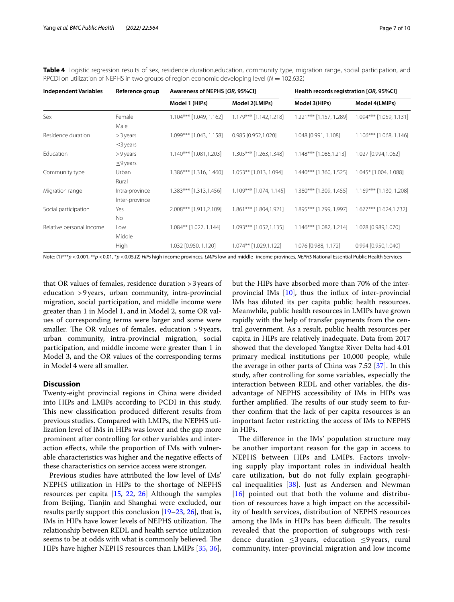<span id="page-6-0"></span>**Table 4** Logistic regression results of sex, residence duration,education, community type, migration range, social participation, and RPCDI on utilization of NEPHS in two groups of region economic developing level (*N* = 102,632)

| <b>Independent Variables</b> | Reference group                  | Awareness of NEPHS [OR, 95%CI] |                           | Health records registration [OR, 95%CI] |                           |  |  |
|------------------------------|----------------------------------|--------------------------------|---------------------------|-----------------------------------------|---------------------------|--|--|
|                              |                                  | Model 1 (HIPs)                 | Model 2(LMIPs)            | Model 3(HIPs)                           | Model 4(LMIPs)            |  |  |
| Sex                          | Female<br>Male                   | 1.104*** [1.049, 1.162]        | $1.179***$ [1.142,1.218]  | 1.221*** [1.157, 1.289]                 | 1.094*** [1.059, 1.131]   |  |  |
| Residence duration           | > 3 years<br>$\leq$ 3 years      | 1.099*** [1.043, 1.158]        | 0.985 [0.952,1.020]       | 1.048 [0.991, 1.108]                    | $1.106***$ [1.068, 1.146] |  |  |
| Education                    | >9 years<br>$\leq$ 9 years       | $1.140***$ [1.081,1.203]       | 1.305*** [1.263,1.348]    | $1.148***$ [1.086,1.213]                | 1.027 [0.994,1.062]       |  |  |
| Community type               | Urban<br>Rural                   | 1.386*** [1.316, 1.460]        | 1.053** [1.013, 1.094]    | 1.440*** [1.360, 1.525]                 | 1.045* [1.004, 1.088]     |  |  |
| Migration range              | Intra-province<br>Inter-province | 1.383*** [1.313,1.456]         | $1.109***$ [1.074, 1.145] | 1.380*** [1.309, 1.455]                 | 1.169*** [1.130, 1.208]   |  |  |
| Social participation         | Yes<br>No                        | 2.008*** [1.911,2.109]         | 1.861*** [1.804,1.921]    | 1.895*** [1.799, 1.997]                 | 1.677*** [1.624,1.732]    |  |  |
| Relative personal income     | Low<br>Middle                    | $1.084***$ [1.027, 1.144]      | $1.093***$ [1.052,1.135]  | $1.146***$ [1.082, 1.214]               | 1.028 [0.989,1.070]       |  |  |
|                              | High                             | 1.032 [0.950, 1.120]           | $1.074**$ [1.029,1.122]   | 1.076 [0.988, 1.172]                    | 0.994 [0.950,1.040]       |  |  |

Note: (1)\*\*\**p* <0.001, \*\**p* <0.01, \**p* <0.05.(2) *HIPs* high income provinces, *LMIPs* low-and middle- income provinces, *NEPHS* National Essential Public Health Services

that OR values of females, residence duration >3years of education >9years, urban community, intra-provincial migration, social participation, and middle income were greater than 1 in Model 1, and in Model 2, some OR values of corresponding terms were larger and some were smaller. The OR values of females, education  $>9$  years, urban community, intra-provincial migration, social participation, and middle income were greater than 1 in Model 3, and the OR values of the corresponding terms in Model 4 were all smaller.

# **Discussion**

Twenty-eight provincial regions in China were divided into HIPs and LMIPs according to PCDI in this study. This new classification produced different results from previous studies. Compared with LMIPs, the NEPHS utilization level of IMs in HIPs was lower and the gap more prominent after controlling for other variables and interaction efects, while the proportion of IMs with vulnerable characteristics was higher and the negative efects of these characteristics on service access were stronger.

Previous studies have attributed the low level of IMs' NEPHS utilization in HIPs to the shortage of NEPHS resources per capita [[15,](#page-8-9) [22,](#page-9-10) [26](#page-9-0)] Although the samples from Beijing, Tianjin and Shanghai were excluded, our results partly support this conclusion [[19–](#page-9-2)[23](#page-9-3), [26\]](#page-9-0), that is, IMs in HIPs have lower levels of NEPHS utilization. The relationship between REDL and health service utilization seems to be at odds with what is commonly believed. The HIPs have higher NEPHS resources than LMIPs [\[35](#page-9-15), [36](#page-9-16)], but the HIPs have absorbed more than 70% of the interprovincial IMs [\[10](#page-8-5)], thus the infux of inter-provincial IMs has diluted its per capita public health resources. Meanwhile, public health resources in LMIPs have grown rapidly with the help of transfer payments from the central government. As a result, public health resources per capita in HIPs are relatively inadequate. Data from 2017 showed that the developed Yangtze River Delta had 4.01 primary medical institutions per 10,000 people, while the average in other parts of China was 7.52 [[37\]](#page-9-17). In this study, after controlling for some variables, especially the interaction between REDL and other variables, the disadvantage of NEPHS accessibility of IMs in HIPs was further amplified. The results of our study seem to further confrm that the lack of per capita resources is an important factor restricting the access of IMs to NEPHS in HIPs.

The difference in the IMs' population structure may be another important reason for the gap in access to NEPHS between HIPs and LMIPs. Factors involving supply play important roles in individual health care utilization, but do not fully explain geographical inequalities [[38\]](#page-9-18). Just as Andersen and Newman [[16](#page-8-10)] pointed out that both the volume and distribution of resources have a high impact on the accessibility of health services, distribution of NEPHS resources among the IMs in HIPs has been difficult. The results revealed that the proportion of subgroups with residence duration  $\leq$ 3 years, education  $\leq$ 9 years, rural community, inter-provincial migration and low income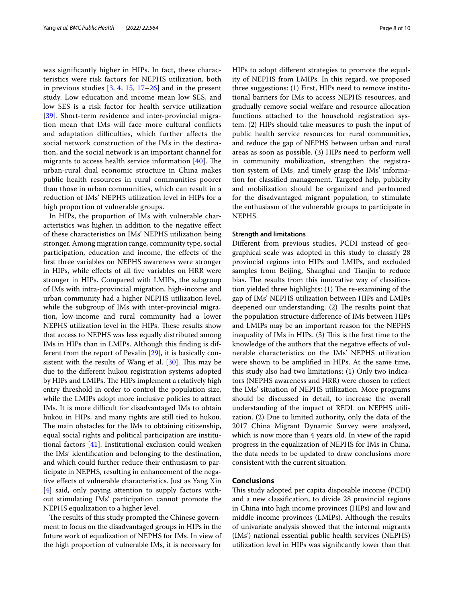was signifcantly higher in HIPs. In fact, these characteristics were risk factors for NEPHS utilization, both in previous studies  $[3, 4, 15, 17–26]$  $[3, 4, 15, 17–26]$  $[3, 4, 15, 17–26]$  $[3, 4, 15, 17–26]$  $[3, 4, 15, 17–26]$  $[3, 4, 15, 17–26]$  $[3, 4, 15, 17–26]$  $[3, 4, 15, 17–26]$  $[3, 4, 15, 17–26]$  and in the present study. Low education and income mean low SES, and low SES is a risk factor for health service utilization [[39](#page-9-19)]. Short-term residence and inter-provincial migration mean that IMs will face more cultural conficts and adaptation difficulties, which further affects the social network construction of the IMs in the destination, and the social network is an important channel for migrants to access health service information  $[40]$  $[40]$ . The urban-rural dual economic structure in China makes public health resources in rural communities poorer than those in urban communities, which can result in a reduction of IMs' NEPHS utilization level in HIPs for a high proportion of vulnerable groups.

In HIPs, the proportion of IMs with vulnerable characteristics was higher, in addition to the negative efect of these characteristics on IMs' NEPHS utilization being stronger. Among migration range, community type, social participation, education and income, the efects of the frst three variables on NEPHS awareness were stronger in HIPs, while efects of all fve variables on HRR were stronger in HIPs. Compared with LMIPs, the subgroup of IMs with intra-provincial migration, high-income and urban community had a higher NEPHS utilization level, while the subgroup of IMs with inter-provincial migration, low-income and rural community had a lower NEPHS utilization level in the HIPs. These results show that access to NEPHS was less equally distributed among IMs in HIPs than in LMIPs. Although this fnding is different from the report of Pevalin [\[29\]](#page-9-7), it is basically consistent with the results of Wang et al.  $[30]$  $[30]$ . This may be due to the diferent hukou registration systems adopted by HIPs and LMIPs. The HIPs implement a relatively high entry threshold in order to control the population size, while the LMIPs adopt more inclusive policies to attract IMs. It is more difficult for disadvantaged IMs to obtain hukou in HIPs, and many rights are still tied to hukou. The main obstacles for the IMs to obtaining citizenship, equal social rights and political participation are institutional factors [[41](#page-9-21)]. Institutional exclusion could weaken the IMs' identifcation and belonging to the destination, and which could further reduce their enthusiasm to participate in NEPHS, resulting in enhancement of the negative efects of vulnerable characteristics. Just as Yang Xin [[4\]](#page-8-11) said, only paying attention to supply factors without stimulating IMs' participation cannot promote the NEPHS equalization to a higher level.

The results of this study prompted the Chinese government to focus on the disadvantaged groups in HIPs in the future work of equalization of NEPHS for IMs. In view of the high proportion of vulnerable IMs, it is necessary for

HIPs to adopt diferent strategies to promote the equality of NEPHS from LMIPs. In this regard, we proposed three suggestions: (1) First, HIPs need to remove institutional barriers for IMs to access NEPHS resources, and gradually remove social welfare and resource allocation functions attached to the household registration system. (2) HIPs should take measures to push the input of public health service resources for rural communities, and reduce the gap of NEPHS between urban and rural areas as soon as possible. (3) HIPs need to perform well in community mobilization, strengthen the registration system of IMs, and timely grasp the IMs' information for classifed management. Targeted help, publicity and mobilization should be organized and performed for the disadvantaged migrant population, to stimulate the enthusiasm of the vulnerable groups to participate in NEPHS.

### **Strength and limitations**

Diferent from previous studies, PCDI instead of geographical scale was adopted in this study to classify 28 provincial regions into HIPs and LMIPs, and excluded samples from Beijing, Shanghai and Tianjin to reduce bias. The results from this innovative way of classification yielded three highlights: (1) The re-examining of the gap of IMs' NEPHS utilization between HIPs and LMIPs deepened our understanding. (2) The results point that the population structure diference of IMs between HIPs and LMIPs may be an important reason for the NEPHS inequality of IMs in HIPs.  $(3)$  This is the first time to the knowledge of the authors that the negative efects of vulnerable characteristics on the IMs' NEPHS utilization were shown to be amplifed in HIPs. At the same time, this study also had two limitations: (1) Only two indicators (NEPHS awareness and HRR) were chosen to refect the IMs' situation of NEPHS utilization. More programs should be discussed in detail, to increase the overall understanding of the impact of REDL on NEPHS utilization. (2) Due to limited authority, only the data of the 2017 China Migrant Dynamic Survey were analyzed, which is now more than 4 years old. In view of the rapid progress in the equalization of NEPHS for IMs in China, the data needs to be updated to draw conclusions more consistent with the current situation.

# **Conclusions**

This study adopted per capita disposable income (PCDI) and a new classifcation, to divide 28 provincial regions in China into high income provinces (HIPs) and low and middle income provinces (LMIPs). Although the results of univariate analysis showed that the internal migrants (IMs') national essential public health services (NEPHS) utilization level in HIPs was signifcantly lower than that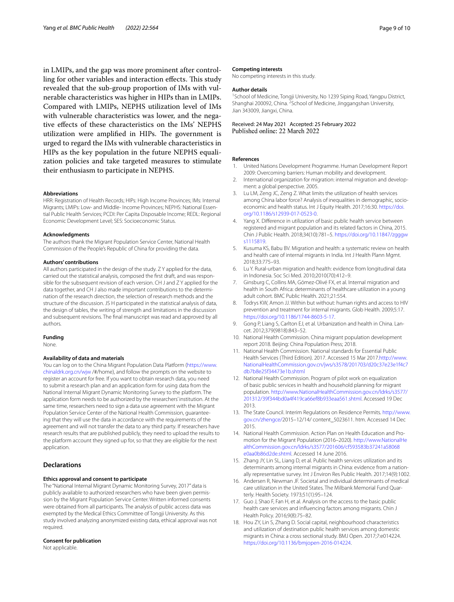in LMIPs, and the gap was more prominent after controlling for other variables and interaction effects. This study revealed that the sub-group proportion of IMs with vulnerable characteristics was higher in HIPs than in LMIPs. Compared with LMIPs, NEPHS utilization level of IMs with vulnerable characteristics was lower, and the negative efects of these characteristics on the IMs' NEPHS utilization were amplified in HIPs. The government is urged to regard the IMs with vulnerable characteristics in HIPs as the key population in the future NEPHS equalization policies and take targeted measures to stimulate their enthusiasm to participate in NEPHS.

#### **Abbreviations**

HRR: Registration of Health Records; HIPs: High Income Provinces; IMs: Internal Migrants; LMIPs: Low- and Middle- Income Provinces; NEPHS: National Essential Public Health Services; PCDI: Per Capita Disposable Income; REDL: Regional Economic Development Level; SES: Socioeconomic Status.

#### **Acknowledgments**

The authors thank the Migrant Population Service Center, National Health Commission of the People's Republic of China for providing the data.

#### **Authors' contributions**

All authors participated in the design of the study. Z Y applied for the data, carried out the statistical analysis, composed the first draft, and was responsible for the subsequent revision of each version. CH J and Z Y applied for the data together, and CH J also made important contributions to the determination of the research direction, the selection of research methods and the structure of the discussion. JS H participated in the statistical analysis of data, the design of tables, the writing of strength and limitations in the discussion and subsequent revisions. The fnal manuscript was read and approved by all authors.

#### **Funding**

None.

### **Availability of data and materials**

You can log on to the China Migrant Population Data Platform [\(https://www.](https://www.chinaldrk.org.cn/wjw) [chinaldrk.org.cn/wjw](https://www.chinaldrk.org.cn/wjw) /#/home), and follow the prompts on the website to register an account for free. If you want to obtain research data, you need to submit a research plan and an application form for using data from the National Internal Migrant Dynamic Monitoring Survey to the platform. The application form needs to be authorized by the researchers' institution. At the same time, researchers need to sign a data use agreement with the Migrant Population Service Center of the National Health Commission, quaranteeing that they will use the data in accordance with the requirements of the agreement and will not transfer the data to any third party. If researchers have research results that are published publicly, they need to upload the results to the platform account they signed up for, so that they are eligible for the next application.

### **Declarations**

### **Ethics approval and consent to participate**

The "National Internal Migrant Dynamic Monitoring Survey, 2017" data is publicly available to authorized researchers who have been given permission by the Migrant Population Service Center. Written informed consents were obtained from all participants. The analysis of public access data was exempted by the Medical Ethics Committee of Tongji University. As this study involved analyzing anonymized existing data, ethical approval was not required.

#### **Consent for publication**

Not applicable.

#### **Competing interests**

No competing interests in this study.

#### **Author details**

<sup>1</sup> School of Medicine, Tongji University, No 1239 Siping Road, Yangpu District, Shanghai 200092, China. <sup>2</sup> School of Medicine, Jinggangshan University, Jian 343009, Jiangxi, China.

Received: 24 May 2021 Accepted: 25 February 2022

### **References**

- <span id="page-8-0"></span>1. United Nations Development Programme. Human Development Report 2009: Overcoming barriers: Human mobility and development.
- <span id="page-8-1"></span>2. International organization for migration: internal migration and development: a global perspective. 2005.
- <span id="page-8-2"></span>3. Lu LM, Zeng JC, Zeng Z. What limits the utilization of health services among China labor force? Analysis of inequalities in demographic, socioeconomic and health status. Int J Equity Health. 2017;16:30. [https://doi.](https://doi.org/10.1186/s12939-017-0523-0) [org/10.1186/s12939-017-0523-0.](https://doi.org/10.1186/s12939-017-0523-0)
- <span id="page-8-11"></span>Yang X. Difference in utilization of basic public health service between registered and migrant population and its related factors in China, 2015. Chin J Public Health. 2018;34(10):781–5. [https://doi.org/10.11847/zgggw](https://doi.org/10.11847/zgggws1115819) [s1115819](https://doi.org/10.11847/zgggws1115819).
- <span id="page-8-13"></span>5. Kusuma KS, Babu BV. Migration and health: a systematic review on health and health care of internal migrants in India. Int J Health Plann Mgmt. 2018;33:775–93.
- Lu Y. Rural-urban migration and health: evidence from longitudinal data in Indonesia. Soc Sci Med. 2010;2010(70):412–9.
- <span id="page-8-14"></span>7. Ginsburg C, Collins MA, Gómez-Olivé FX, et al. Internal migration and health in South Africa: determinants of healthcare utilization in a young adult cohort. BMC Public Health. 2021;21:554.
- <span id="page-8-3"></span>Todrys KW, Amon JJ. Within but without: human rights and access to HIV prevention and treatment for internal migrants. Glob Health. 2009;5:17. [https://doi.org/10.1186/1744-8603-5-17.](https://doi.org/10.1186/1744-8603-5-17)
- <span id="page-8-4"></span>Gong P, Liang S, Carlton EJ, et al. Urbanization and health in China. Lancet. 2012;379(9818):843–52.
- <span id="page-8-5"></span>10. National Health Commission. China migrant population development report 2018. Beijing: China Population Press; 2018.
- <span id="page-8-6"></span>11. National Health Commission. National standards for Essential Public Health Services (Third Edition). 2017. Accessed 15 Mar 2017.[http://www.](http://www.nhc.gov.cn/jws/s3578/201703/d20c37e23e1f4c7db7b8e25f34473e1b.shtml) [NationalHealthCommission.gov.cn/jws/s3578/201703/d20c37e23e1f4c7](http://www.nhc.gov.cn/jws/s3578/201703/d20c37e23e1f4c7db7b8e25f34473e1b.shtml) [db7b8e25f34473e1b.shtml](http://www.nhc.gov.cn/jws/s3578/201703/d20c37e23e1f4c7db7b8e25f34473e1b.shtml)
- <span id="page-8-7"></span>12. National Health Commission. Program of pilot work on equalization of basic public services in health and household planning for migrant population. [http://www.NationalHealthCommission.gov.cn/ldrks/s3577/](http://www.nhc.gov.cn/ldrks/s3577/201312/39f344bd0a4f419ca66ef8b933eaa561.shtml) [201312/39f344bd0a4f419ca66ef8b933eaa561.shtml](http://www.nhc.gov.cn/ldrks/s3577/201312/39f344bd0a4f419ca66ef8b933eaa561.shtml). Accessed 19 Dec 2013.
- 13. The State Council. Interim Regulations on Residence Permits. [http://www.](http://www.gov.cn/zhengce/) [gov.cn/zhengce/2](http://www.gov.cn/zhengce/)015–12/14/ content\_5023611. htm. Accessed 14 Dec 2015.
- <span id="page-8-8"></span>14. National Health Commission. Action Plan on Health Education and Promotion for the Migrant Population (2016–2020). [http://www.NationalHe](http://www.nhc.gov.cn/ldrks/s3577/201606/cf593583b37241a58068e0aa0b86d2de.shtml) [althCommission.gov.cn/ldrks/s3577/201606/cf593583b37241a58068](http://www.nhc.gov.cn/ldrks/s3577/201606/cf593583b37241a58068e0aa0b86d2de.shtml) [e0aa0b86d2de.shtml](http://www.nhc.gov.cn/ldrks/s3577/201606/cf593583b37241a58068e0aa0b86d2de.shtml). Accessed 14 June 2016.
- <span id="page-8-9"></span>15. Zhang JY, Lin SL, Liang D, et al. Public health services utilization and its determinants among internal migrants in China: evidence from a nationally representative survey. Int J Environ Res Public Health. 2017;14(9):1002.
- <span id="page-8-10"></span>16. Andersen R, Newman JF. Societal and individual determinants of medical care utilization in the United States. The Milbank Memorial Fund Quarterly. Health Society. 1973;51(1):95–124.
- <span id="page-8-12"></span>17. Guo J, Shao F, Fan H, et al. Analysis on the access to the basic public health care services and infuencing factors among migrants. Chin J Health Policy. 2016;9(8):75–82.
- <span id="page-8-15"></span>18. Hou ZY, Lin S, Zhang D. Social capital, neighbourhood characteristics and utilization of destination public health services among domestic migrants in China: a cross sectional study. BMJ Open. 2017;7:e014224. <https://doi.org/10.1136/bmjopen-2016-014224>.